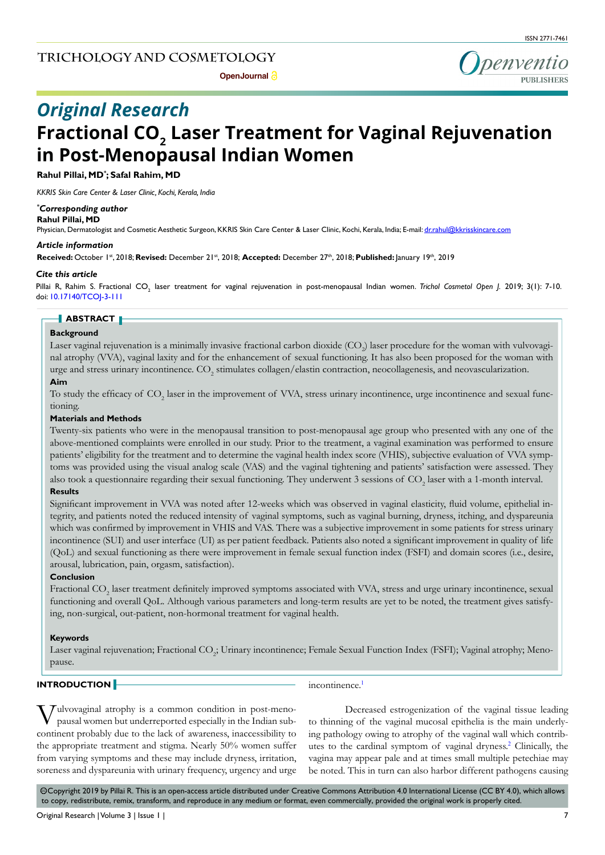

# **Fractional CO<sub>2</sub> Laser Treatment for Vaginal Rejuvenation in Post-Menopausal Indian Women** *Original Research*

**Rahul Pillai, MD\* ; Safal Rahim, MD**

*KKRIS Skin Care Center & Laser Clinic, Kochi, Kerala, India*

#### *\* Corresponding author*

#### **Rahul Pillai, MD**

Physician, Dermatologist and Cosmetic Aesthetic Surgeon, KKRIS Skin Care Center & Laser Clinic, Kochi, Kerala, India; E-mail: dr.rahul@kkrisskincare.com

#### *Article information*

**Received:** October 1st, 2018; **Revised:** December 21st, 2018; **Accepted:** December 27th, 2018; **Published:** January 19th, 2019

#### *Cite this article*

Pillai R, Rahim S. Fractional CO<sub>2</sub> laser treatment for vaginal rejuvenation in post-menopausal Indian women. *Trichol Cosmetol Open J.* 2019; 3(1): 7-10. doi: [10.17140/TCOJ-3-111](http://dx.doi.org/10.17140/TCOJ-3-111)

#### **ABSTRACT**

## **Background**

Laser vaginal rejuvenation is a minimally invasive fractional carbon dioxide (CO<sub>2</sub>) laser procedure for the woman with vulvovaginal atrophy (VVA), vaginal laxity and for the enhancement of sexual functioning. It has also been proposed for the woman with urge and stress urinary incontinence.  $\rm CO_{2}$  stimulates collagen/elastin contraction, neocollagenesis, and neovascularization.

# **Aim**

To study the efficacy of  $\mathrm{CO}_2$  laser in the improvement of VVA, stress urinary incontinence, urge incontinence and sexual functioning.

## **Materials and Methods**

Twenty-six patients who were in the menopausal transition to post-menopausal age group who presented with any one of the above-mentioned complaints were enrolled in our study. Prior to the treatment, a vaginal examination was performed to ensure patients' eligibility for the treatment and to determine the vaginal health index score (VHIS), subjective evaluation of VVA symptoms was provided using the visual analog scale (VAS) and the vaginal tightening and patients' satisfaction were assessed. They also took a questionnaire regarding their sexual functioning. They underwent 3 sessions of  $\mathrm{CO}_2$  laser with a 1-month interval.

## **Results**

Significant improvement in VVA was noted after 12-weeks which was observed in vaginal elasticity, fluid volume, epithelial integrity, and patients noted the reduced intensity of vaginal symptoms, such as vaginal burning, dryness, itching, and dyspareunia which was confirmed by improvement in VHIS and VAS. There was a subjective improvement in some patients for stress urinary incontinence (SUI) and user interface (UI) as per patient feedback. Patients also noted a significant improvement in quality of life (QoL) and sexual functioning as there were improvement in female sexual function index (FSFI) and domain scores (i.e., desire, arousal, lubrication, pain, orgasm, satisfaction).

## **Conclusion**

Fractional  $\mathrm{CO}_2$  laser treatment definitely improved symptoms associated with VVA, stress and urge urinary incontinence, sexual functioning and overall QoL. Although various parameters and long-term results are yet to be noted, the treatment gives satisfying, non-surgical, out-patient, non-hormonal treatment for vaginal health.

#### **Keywords**

Laser vaginal rejuvenation; Fractional CO<sub>2</sub>; Urinary incontinence; Female Sexual Function Index (FSFI); Vaginal atrophy; Menopause.

# **INTRODUCTION**

incontinence.<sup>[1](#page-3-0)</sup>

Iulvovaginal atrophy is a common condition in post-menopausal women but underreported especially in the Indian subcontinent probably due to the lack of awareness, inaccessibility to the appropriate treatment and stigma. Nearly 50% women suffer from varying symptoms and these may include dryness, irritation, soreness and dyspareunia with urinary frequency, urgency and urge

Decreased estrogenization of the vaginal tissue leading to thinning of the vaginal mucosal epithelia is the main underlying pathology owing to atrophy of the vaginal wall which contrib-utes to the cardinal symptom of vaginal dryness.<sup>[2](#page-3-1)</sup> Clinically, the vagina may appear pale and at times small multiple petechiae may be noted. This in turn can also harbor different pathogens causing

 $\circledcirc$ Copyright 2019 by Pillai R. This is an open-access article distributed under Creative Commons Attribution 4.0 International License (CC BY 4.0), which allows to copy, redistribute, remix, transform, and reproduce in any medium or format, even commercially, provided the original work is properly cited.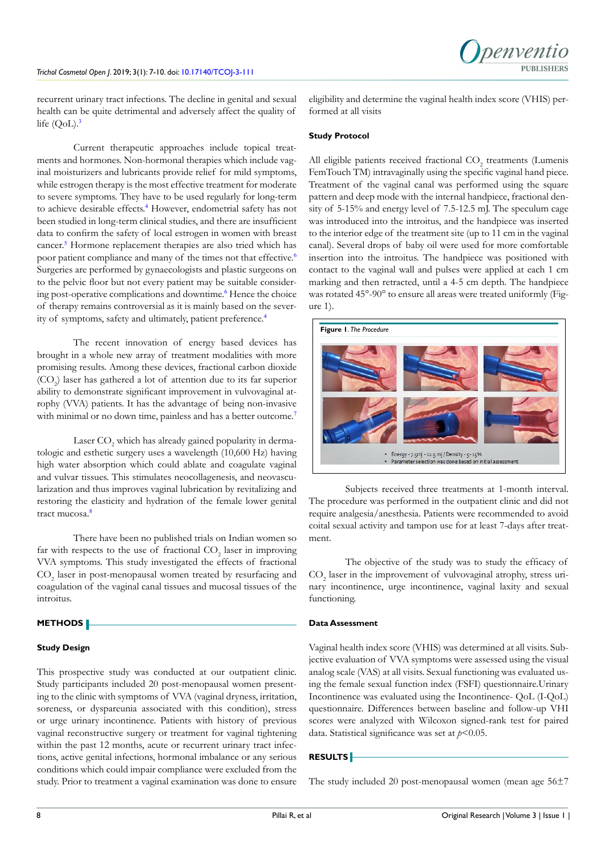recurrent urinary tract infections. The decline in genital and sexual health can be quite detrimental and adversely affect the quality of life  $(QoL).$ <sup>[3](#page-3-2)</sup>

Current therapeutic approaches include topical treatments and hormones. Non-hormonal therapies which include vaginal moisturizers and lubricants provide relief for mild symptoms, while estrogen therapy is the most effective treatment for moderate to severe symptoms. They have to be used regularly for long-term to achieve desirable effects.<sup>[4](#page-3-3)</sup> However, endometrial safety has not been studied in long-term clinical studies, and there are insufficient data to confirm the safety of local estrogen in women with breast cancer.<sup>[5](#page-3-4)</sup> Hormone replacement therapies are also tried which has poor patient compliance and many of the times not that effective.<sup>[6](#page-3-5)</sup> Surgeries are performed by gynaecologists and plastic surgeons on to the pelvic floor but not every patient may be suitable consider-ing post-operative complications and downtime.<sup>[6](#page-3-5)</sup> Hence the choice of therapy remains controversial as it is mainly based on the severity of symptoms, safety and ultimately, patient preference.[4](#page-3-3)

The recent innovation of energy based devices has brought in a whole new array of treatment modalities with more promising results. Among these devices, fractional carbon dioxide  $({\rm CO}_2)$  laser has gathered a lot of attention due to its far superior ability to demonstrate significant improvement in vulvovaginal atrophy (VVA) patients. It has the advantage of being non-invasive with minimal or no down time, painless and has a better outcome.<sup>[7](#page-3-6)</sup>

Laser  $\mathrm{CO}_2$  which has already gained popularity in dermatologic and esthetic surgery uses a wavelength (10,600 Hz) having high water absorption which could ablate and coagulate vaginal and vulvar tissues. This stimulates neocollagenesis, and neovascularization and thus improves vaginal lubrication by revitalizing and restoring the elasticity and hydration of the female lower genital tract mucosa.<sup>[8](#page-3-7)</sup>

There have been no published trials on Indian women so far with respects to the use of fractional  $CO<sub>2</sub>$  laser in improving VVA symptoms. This study investigated the effects of fractional  $\mathrm{CO}_2$  laser in post-menopausal women treated by resurfacing and coagulation of the vaginal canal tissues and mucosal tissues of the introitus.

#### **METHODS**

#### **Study Design**

This prospective study was conducted at our outpatient clinic. Study participants included 20 post-menopausal women presenting to the clinic with symptoms of VVA (vaginal dryness, irritation, soreness, or dyspareunia associated with this condition), stress or urge urinary incontinence. Patients with history of previous vaginal reconstructive surgery or treatment for vaginal tightening within the past 12 months, acute or recurrent urinary tract infections, active genital infections, hormonal imbalance or any serious conditions which could impair compliance were excluded from the study. Prior to treatment a vaginal examination was done to ensure

eligibility and determine the vaginal health index score (VHIS) performed at all visits

#### **Study Protocol**

All eligible patients received fractional  $\mathrm{CO}_2$  treatments (Lumenis FemTouch TM) intravaginally using the specific vaginal hand piece. Treatment of the vaginal canal was performed using the square pattern and deep mode with the internal handpiece, fractional density of 5-15% and energy level of 7.5-12.5 mJ. The speculum cage was introduced into the introitus, and the handpiece was inserted to the interior edge of the treatment site (up to 11 cm in the vaginal canal). Several drops of baby oil were used for more comfortable insertion into the introitus. The handpiece was positioned with contact to the vaginal wall and pulses were applied at each 1 cm marking and then retracted, until a 4-5 cm depth. The handpiece was rotated 45°-90° to ensure all areas were treated uniformly (Figure 1).



Subjects received three treatments at 1-month interval. The procedure was performed in the outpatient clinic and did not require analgesia/anesthesia. Patients were recommended to avoid coital sexual activity and tampon use for at least 7-days after treatment.

The objective of the study was to study the efficacy of CO<sub>2</sub> laser in the improvement of vulvovaginal atrophy, stress urinary incontinence, urge incontinence, vaginal laxity and sexual functioning.

#### **Data Assessment**

Vaginal health index score (VHIS) was determined at all visits. Subjective evaluation of VVA symptoms were assessed using the visual analog scale (VAS) at all visits. Sexual functioning was evaluated using the female sexual function index (FSFI) questionnaire.Urinary Incontinence was evaluated using the Incontinence- QoL (I-QoL) questionnaire. Differences between baseline and follow-up VHI scores were analyzed with Wilcoxon signed-rank test for paired data. Statistical significance was set at  $p<0.05$ .

#### **RESULTS**

The study included 20 post-menopausal women (mean age 56±7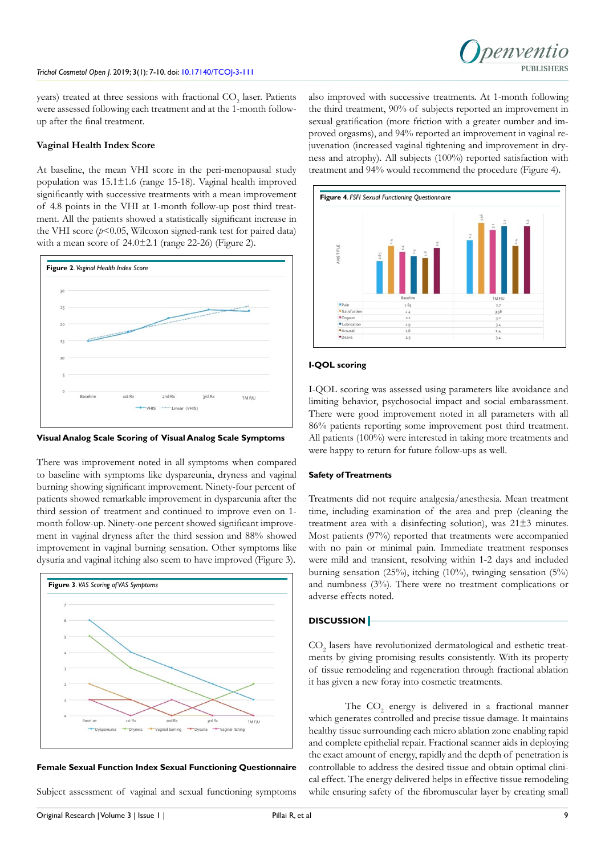

years) treated at three sessions with fractional  $\mathrm{CO}_2$  laser. Patients were assessed following each treatment and at the 1-month followup after the final treatment.

# **Vaginal Health Index Score**

At baseline, the mean VHI score in the peri-menopausal study population was 15.1±1.6 (range 15-18). Vaginal health improved significantly with successive treatments with a mean improvement of 4.8 points in the VHI at 1-month follow-up post third treatment. All the patients showed a statistically significant increase in the VHI score  $(p< 0.05$ , Wilcoxon signed-rank test for paired data) with a mean score of  $24.0 \pm 2.1$  (range 22-26) (Figure 2).



**Visual Analog Scale Scoring of Visual Analog Scale Symptoms**

There was improvement noted in all symptoms when compared to baseline with symptoms like dyspareunia, dryness and vaginal burning showing significant improvement. Ninety-four percent of patients showed remarkable improvement in dyspareunia after the third session of treatment and continued to improve even on 1 month follow-up. Ninety-one percent showed significant improvement in vaginal dryness after the third session and 88% showed improvement in vaginal burning sensation. Other symptoms like dysuria and vaginal itching also seem to have improved (Figure 3).



# **Female Sexual Function Index Sexual Functioning Questionnaire**

Subject assessment of vaginal and sexual functioning symptoms

also improved with successive treatments. At 1-month following the third treatment, 90% of subjects reported an improvement in sexual gratification (more friction with a greater number and improved orgasms), and 94% reported an improvement in vaginal rejuvenation (increased vaginal tightening and improvement in dryness and atrophy). All subjects (100%) reported satisfaction with treatment and 94% would recommend the procedure (Figure 4).



# **I-QOL scoring**

I-QOL scoring was assessed using parameters like avoidance and limiting behavior, psychosocial impact and social embarassment. There were good improvement noted in all parameters with all 86% patients reporting some improvement post third treatment. All patients (100%) were interested in taking more treatments and were happy to return for future follow-ups as well.

## **Safety of Treatments**

Treatments did not require analgesia/anesthesia. Mean treatment time, including examination of the area and prep (cleaning the treatment area with a disinfecting solution), was 21±3 minutes. Most patients (97%) reported that treatments were accompanied with no pain or minimal pain. Immediate treatment responses were mild and transient, resolving within 1-2 days and included burning sensation (25%), itching (10%), twinging sensation (5%) and numbness (3%). There were no treatment complications or adverse effects noted.

# **DISCUSSION**

CO<sub>2</sub> lasers have revolutionized dermatological and esthetic treatments by giving promising results consistently. With its property of tissue remodeling and regeneration through fractional ablation it has given a new foray into cosmetic treatments.

The  $CO<sub>2</sub>$  energy is delivered in a fractional manner which generates controlled and precise tissue damage. It maintains healthy tissue surrounding each micro ablation zone enabling rapid and complete epithelial repair. Fractional scanner aids in deploying the exact amount of energy, rapidly and the depth of penetration is controllable to address the desired tissue and obtain optimal clinical effect. The energy delivered helps in effective tissue remodeling while ensuring safety of the fibromuscular layer by creating small